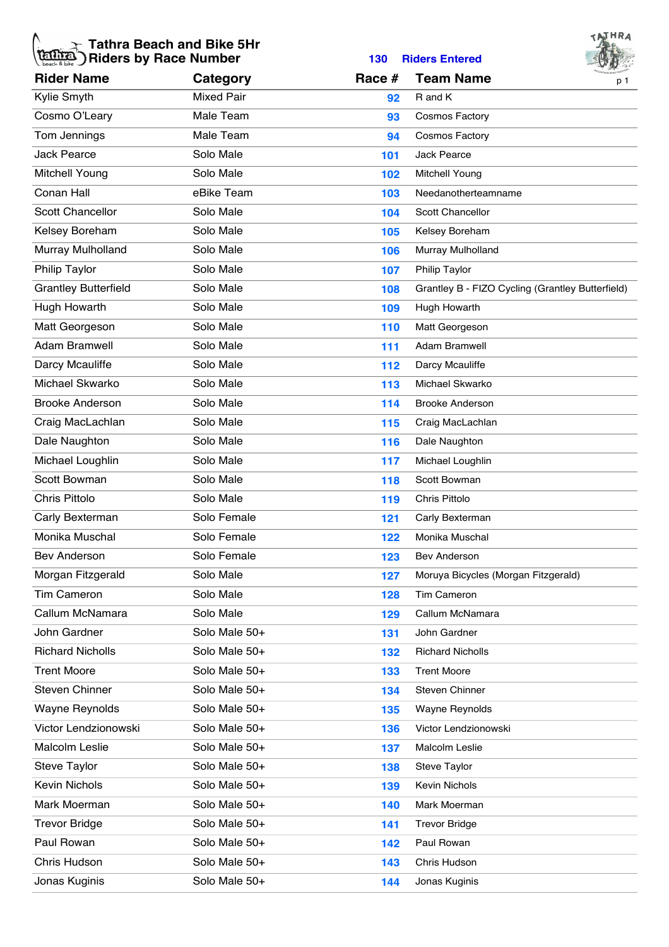## **Tathra Beach and Bike 5Hr Riders by Race Number 130 Riders Entered**



|                             |                   |        |                                                  | $ \vee$ av |
|-----------------------------|-------------------|--------|--------------------------------------------------|------------|
| <b>Rider Name</b>           | Category          | Race # | <b>Team Name</b>                                 | p 1        |
| Kylie Smyth                 | <b>Mixed Pair</b> | 92     | R and K                                          |            |
| Cosmo O'Leary               | Male Team         | 93     | <b>Cosmos Factory</b>                            |            |
| Tom Jennings                | Male Team         | 94     | <b>Cosmos Factory</b>                            |            |
| <b>Jack Pearce</b>          | Solo Male         | 101    | Jack Pearce                                      |            |
| Mitchell Young              | Solo Male         | 102    | Mitchell Young                                   |            |
| Conan Hall                  | eBike Team        | 103    | Needanotherteamname                              |            |
| <b>Scott Chancellor</b>     | Solo Male         | 104    | <b>Scott Chancellor</b>                          |            |
| Kelsey Boreham              | Solo Male         | 105    | Kelsey Boreham                                   |            |
| Murray Mulholland           | Solo Male         | 106    | Murray Mulholland                                |            |
| <b>Philip Taylor</b>        | Solo Male         | 107    | Philip Taylor                                    |            |
| <b>Grantley Butterfield</b> | Solo Male         | 108    | Grantley B - FIZO Cycling (Grantley Butterfield) |            |
| Hugh Howarth                | Solo Male         | 109    | Hugh Howarth                                     |            |
| Matt Georgeson              | Solo Male         | 110    | Matt Georgeson                                   |            |
| <b>Adam Bramwell</b>        | Solo Male         | 111    | Adam Bramwell                                    |            |
| Darcy Mcauliffe             | Solo Male         | 112    | Darcy Mcauliffe                                  |            |
| Michael Skwarko             | Solo Male         | 113    | Michael Skwarko                                  |            |
| <b>Brooke Anderson</b>      | Solo Male         | 114    | <b>Brooke Anderson</b>                           |            |
| Craig MacLachlan            | Solo Male         | 115    | Craig MacLachlan                                 |            |
| Dale Naughton               | Solo Male         | 116    | Dale Naughton                                    |            |
| Michael Loughlin            | Solo Male         | 117    | Michael Loughlin                                 |            |
| Scott Bowman                | Solo Male         | 118    | Scott Bowman                                     |            |
| <b>Chris Pittolo</b>        | Solo Male         | 119    | Chris Pittolo                                    |            |
| Carly Bexterman             | Solo Female       | 121    | Carly Bexterman                                  |            |
| Monika Muschal              | Solo Female       | 122    | Monika Muschal                                   |            |
| Bev Anderson                | Solo Female       | 123    | <b>Bev Anderson</b>                              |            |
| Morgan Fitzgerald           | Solo Male         | 127    | Moruya Bicycles (Morgan Fitzgerald)              |            |
| <b>Tim Cameron</b>          | Solo Male         | 128    | <b>Tim Cameron</b>                               |            |
| Callum McNamara             | Solo Male         | 129    | Callum McNamara                                  |            |
| John Gardner                | Solo Male 50+     | 131    | John Gardner                                     |            |
| <b>Richard Nicholls</b>     | Solo Male 50+     | 132    | <b>Richard Nicholls</b>                          |            |
| <b>Trent Moore</b>          | Solo Male 50+     | 133    | <b>Trent Moore</b>                               |            |
| Steven Chinner              | Solo Male 50+     | 134    | Steven Chinner                                   |            |
| <b>Wayne Reynolds</b>       | Solo Male 50+     | 135    | Wayne Reynolds                                   |            |
| Victor Lendzionowski        | Solo Male 50+     | 136    | Victor Lendzionowski                             |            |
| Malcolm Leslie              | Solo Male 50+     | 137    | Malcolm Leslie                                   |            |
| <b>Steve Taylor</b>         | Solo Male 50+     | 138    | Steve Taylor                                     |            |
| Kevin Nichols               | Solo Male 50+     | 139    | <b>Kevin Nichols</b>                             |            |
| Mark Moerman                | Solo Male 50+     | 140    | Mark Moerman                                     |            |
| <b>Trevor Bridge</b>        | Solo Male 50+     | 141    | <b>Trevor Bridge</b>                             |            |
| Paul Rowan                  | Solo Male 50+     | 142    | Paul Rowan                                       |            |
| Chris Hudson                | Solo Male 50+     | 143    | Chris Hudson                                     |            |
| Jonas Kuginis               | Solo Male 50+     | 144    | Jonas Kuginis                                    |            |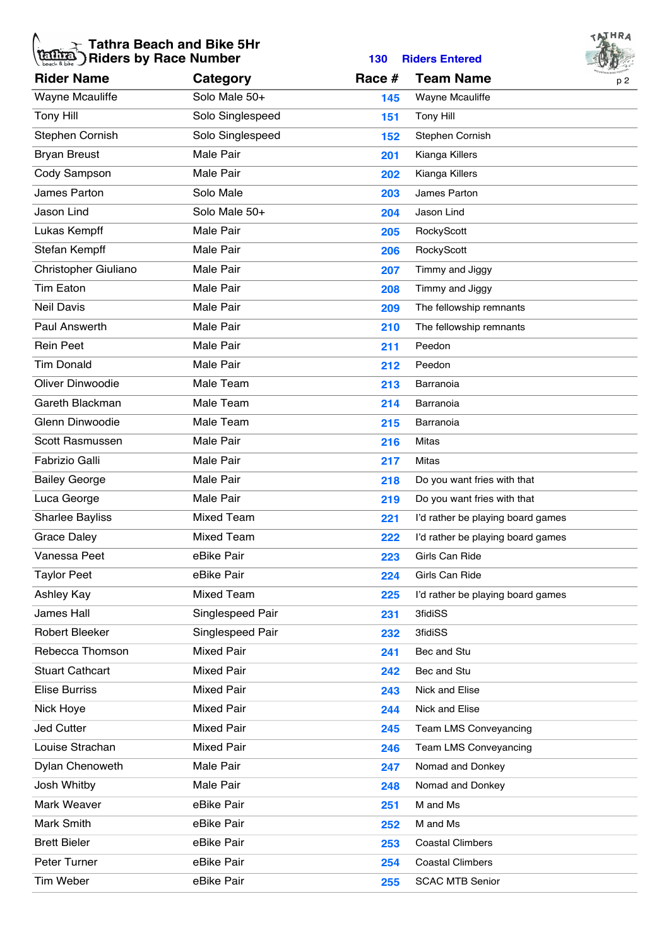## **Tathra Beach and Bike 5Hr Riders by Race Number 130 Riders Entered**



| <b>Rider Name</b>       | Category          | Race # | <b>Team Name</b>                  | $ -$<br><b>MOUNTAIN BIKE FESTIVAL</b><br>p 2 |
|-------------------------|-------------------|--------|-----------------------------------|----------------------------------------------|
| Wayne Mcauliffe         | Solo Male 50+     | 145    | Wayne Mcauliffe                   |                                              |
| <b>Tony Hill</b>        | Solo Singlespeed  | 151    | <b>Tony Hill</b>                  |                                              |
| Stephen Cornish         | Solo Singlespeed  | 152    | Stephen Cornish                   |                                              |
| <b>Bryan Breust</b>     | <b>Male Pair</b>  | 201    | Kianga Killers                    |                                              |
| Cody Sampson            | Male Pair         | 202    | Kianga Killers                    |                                              |
| James Parton            | Solo Male         | 203    | James Parton                      |                                              |
| Jason Lind              | Solo Male 50+     | 204    | Jason Lind                        |                                              |
| Lukas Kempff            | Male Pair         | 205    | RockyScott                        |                                              |
| Stefan Kempff           | Male Pair         | 206    | RockyScott                        |                                              |
| Christopher Giuliano    | <b>Male Pair</b>  | 207    | Timmy and Jiggy                   |                                              |
| <b>Tim Eaton</b>        | Male Pair         | 208    | Timmy and Jiggy                   |                                              |
| <b>Neil Davis</b>       | Male Pair         | 209    | The fellowship remnants           |                                              |
| Paul Answerth           | <b>Male Pair</b>  | 210    | The fellowship remnants           |                                              |
| <b>Rein Peet</b>        | Male Pair         | 211    | Peedon                            |                                              |
| <b>Tim Donald</b>       | Male Pair         | 212    | Peedon                            |                                              |
| <b>Oliver Dinwoodie</b> | Male Team         | 213    | Barranoia                         |                                              |
| Gareth Blackman         | Male Team         | 214    | Barranoia                         |                                              |
| Glenn Dinwoodie         | Male Team         | 215    | Barranoia                         |                                              |
| Scott Rasmussen         | <b>Male Pair</b>  | 216    | Mitas                             |                                              |
| Fabrizio Galli          | Male Pair         | 217    | Mitas                             |                                              |
| <b>Bailey George</b>    | Male Pair         | 218    | Do you want fries with that       |                                              |
| Luca George             | <b>Male Pair</b>  | 219    | Do you want fries with that       |                                              |
| <b>Sharlee Bayliss</b>  | <b>Mixed Team</b> | 221    | I'd rather be playing board games |                                              |
| <b>Grace Daley</b>      | <b>Mixed Team</b> | 222    | I'd rather be playing board games |                                              |
| Vanessa Peet            | eBike Pair        | 223    | Girls Can Ride                    |                                              |
| Taylor Peet             | eBike Pair        | 224    | Girls Can Ride                    |                                              |
| Ashley Kay              | Mixed Team        | 225    | I'd rather be playing board games |                                              |
| James Hall              | Singlespeed Pair  | 231    | <b>3fidiSS</b>                    |                                              |
| Robert Bleeker          | Singlespeed Pair  | 232    | <b>3fidiSS</b>                    |                                              |
| Rebecca Thomson         | <b>Mixed Pair</b> | 241    | Bec and Stu                       |                                              |
| <b>Stuart Cathcart</b>  | <b>Mixed Pair</b> | 242    | Bec and Stu                       |                                              |
| <b>Elise Burriss</b>    | <b>Mixed Pair</b> | 243    | Nick and Elise                    |                                              |
| Nick Hoye               | <b>Mixed Pair</b> | 244    | Nick and Elise                    |                                              |
| <b>Jed Cutter</b>       | <b>Mixed Pair</b> | 245    | Team LMS Conveyancing             |                                              |
| Louise Strachan         | <b>Mixed Pair</b> | 246    | Team LMS Conveyancing             |                                              |
| Dylan Chenoweth         | Male Pair         | 247    | Nomad and Donkey                  |                                              |
| Josh Whitby             | Male Pair         | 248    | Nomad and Donkey                  |                                              |
| Mark Weaver             | eBike Pair        | 251    | M and Ms                          |                                              |
| Mark Smith              | eBike Pair        | 252    | M and Ms                          |                                              |
| <b>Brett Bieler</b>     | eBike Pair        | 253    | <b>Coastal Climbers</b>           |                                              |
| Peter Turner            | eBike Pair        | 254    | <b>Coastal Climbers</b>           |                                              |
| Tim Weber               | eBike Pair        | 255    | <b>SCAC MTB Senior</b>            |                                              |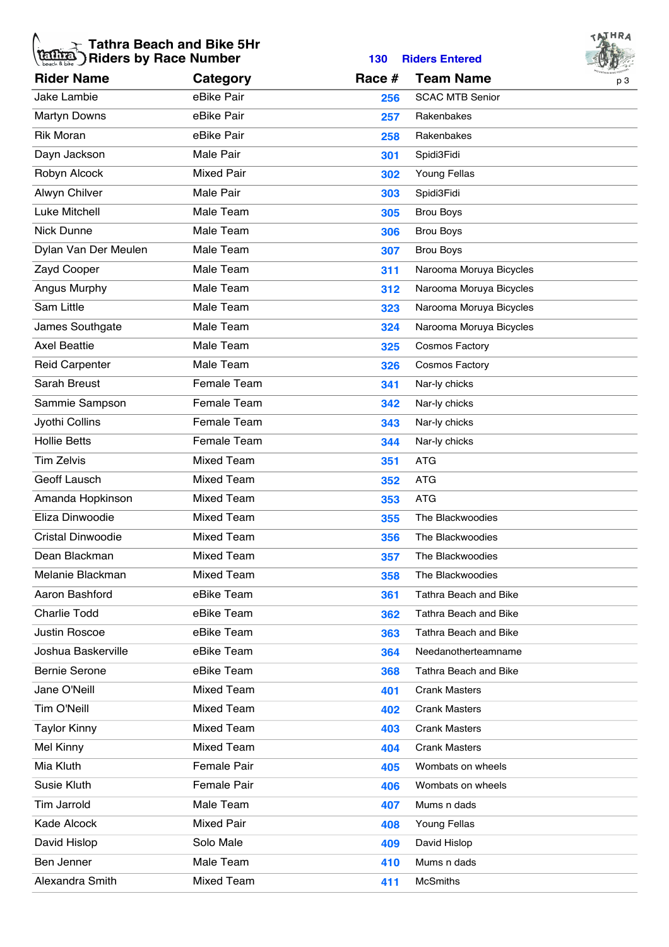## **Tathra Beach and Bike 5Hr Riders by Race Number 130 Riders Entered**



|                          |                   |        |                              | $\sim$ $\omega$ |
|--------------------------|-------------------|--------|------------------------------|-----------------|
| <b>Rider Name</b>        | Category          | Race # | <b>Team Name</b>             | p <sub>3</sub>  |
| Jake Lambie              | eBike Pair        | 256    | <b>SCAC MTB Senior</b>       |                 |
| <b>Martyn Downs</b>      | eBike Pair        | 257    | Rakenbakes                   |                 |
| <b>Rik Moran</b>         | eBike Pair        | 258    | Rakenbakes                   |                 |
| Dayn Jackson             | Male Pair         | 301    | Spidi3Fidi                   |                 |
| Robyn Alcock             | <b>Mixed Pair</b> | 302    | Young Fellas                 |                 |
| Alwyn Chilver            | <b>Male Pair</b>  | 303    | Spidi3Fidi                   |                 |
| Luke Mitchell            | Male Team         | 305    | <b>Brou Boys</b>             |                 |
| Nick Dunne               | Male Team         | 306    | <b>Brou Boys</b>             |                 |
| Dylan Van Der Meulen     | Male Team         | 307    | <b>Brou Boys</b>             |                 |
| Zayd Cooper              | Male Team         | 311    | Narooma Moruya Bicycles      |                 |
| Angus Murphy             | Male Team         | 312    | Narooma Moruya Bicycles      |                 |
| Sam Little               | Male Team         | 323    | Narooma Moruya Bicycles      |                 |
| James Southgate          | Male Team         | 324    | Narooma Moruya Bicycles      |                 |
| <b>Axel Beattie</b>      | Male Team         | 325    | <b>Cosmos Factory</b>        |                 |
| <b>Reid Carpenter</b>    | Male Team         | 326    | <b>Cosmos Factory</b>        |                 |
| Sarah Breust             | Female Team       | 341    | Nar-ly chicks                |                 |
| Sammie Sampson           | Female Team       | 342    | Nar-ly chicks                |                 |
| Jyothi Collins           | Female Team       | 343    | Nar-ly chicks                |                 |
| <b>Hollie Betts</b>      | Female Team       | 344    | Nar-ly chicks                |                 |
| <b>Tim Zelvis</b>        | <b>Mixed Team</b> | 351    | <b>ATG</b>                   |                 |
| Geoff Lausch             | <b>Mixed Team</b> | 352    | <b>ATG</b>                   |                 |
| Amanda Hopkinson         | <b>Mixed Team</b> | 353    | <b>ATG</b>                   |                 |
| Eliza Dinwoodie          | <b>Mixed Team</b> | 355    | The Blackwoodies             |                 |
| <b>Cristal Dinwoodie</b> | <b>Mixed Team</b> | 356    | The Blackwoodies             |                 |
| Dean Blackman            | <b>Mixed Team</b> | 357    | The Blackwoodies             |                 |
| Melanie Blackman         | Mixed Team        | 358    | The Blackwoodies             |                 |
| Aaron Bashford           | eBike Team        | 361    | <b>Tathra Beach and Bike</b> |                 |
| <b>Charlie Todd</b>      | eBike Team        | 362    | <b>Tathra Beach and Bike</b> |                 |
| Justin Roscoe            | eBike Team        | 363    | Tathra Beach and Bike        |                 |
| Joshua Baskerville       | eBike Team        | 364    | Needanotherteamname          |                 |
| <b>Bernie Serone</b>     | eBike Team        | 368    | <b>Tathra Beach and Bike</b> |                 |
| Jane O'Neill             | <b>Mixed Team</b> | 401    | <b>Crank Masters</b>         |                 |
| Tim O'Neill              | <b>Mixed Team</b> | 402    | <b>Crank Masters</b>         |                 |
| <b>Taylor Kinny</b>      | <b>Mixed Team</b> | 403    | <b>Crank Masters</b>         |                 |
| Mel Kinny                | <b>Mixed Team</b> | 404    | <b>Crank Masters</b>         |                 |
| Mia Kluth                | Female Pair       | 405    | Wombats on wheels            |                 |
| Susie Kluth              | Female Pair       | 406    | Wombats on wheels            |                 |
| <b>Tim Jarrold</b>       | Male Team         | 407    | Mums n dads                  |                 |
| Kade Alcock              | <b>Mixed Pair</b> | 408    | <b>Young Fellas</b>          |                 |
| David Hislop             | Solo Male         | 409    | David Hislop                 |                 |
| Ben Jenner               | Male Team         | 410    | Mums n dads                  |                 |
| Alexandra Smith          | <b>Mixed Team</b> | 411    | <b>McSmiths</b>              |                 |